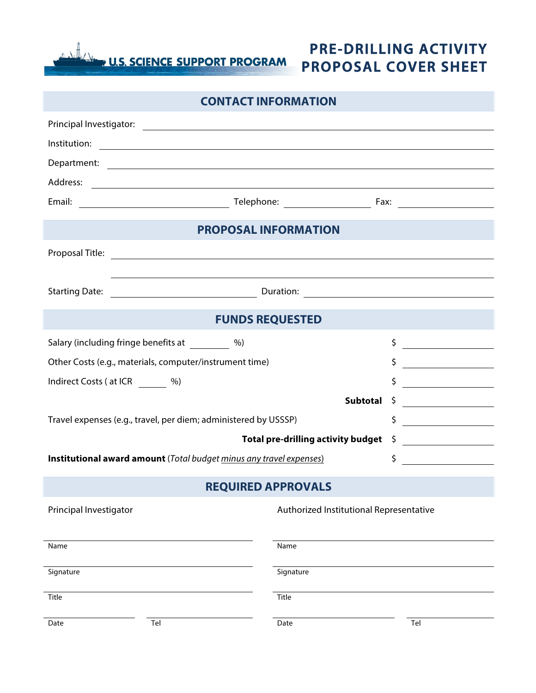U.S. SCIENCE SUPPORT PROGRAM

## **PROPOSAL COVER SHEET PRE-DRILLING ACTIVITY**

| <b>CONTACT INFORMATION</b>                                          |                                                                                   |                 |                                                               |
|---------------------------------------------------------------------|-----------------------------------------------------------------------------------|-----------------|---------------------------------------------------------------|
|                                                                     |                                                                                   |                 |                                                               |
|                                                                     |                                                                                   |                 |                                                               |
|                                                                     |                                                                                   |                 |                                                               |
|                                                                     |                                                                                   |                 |                                                               |
|                                                                     |                                                                                   |                 |                                                               |
| <b>PROPOSAL INFORMATION</b>                                         |                                                                                   |                 |                                                               |
|                                                                     |                                                                                   |                 |                                                               |
|                                                                     | ,我们也不会有一个人的人,我们也不会有一个人的人,我们也不会有一个人的人,我们也不会有一个人的人,我们也不会有一个人的人。""我们的人,我们也不会有一个人的人,我 |                 |                                                               |
| <b>Starting Date:</b>                                               |                                                                                   |                 |                                                               |
| <b>FUNDS REQUESTED</b>                                              |                                                                                   |                 |                                                               |
|                                                                     | Salary (including fringe benefits at _________ %)                                 |                 | \$<br><u> a shekara ta 1999 a shekara ta 1991 a shekara t</u> |
| Other Costs (e.g., materials, computer/instrument time)             |                                                                                   |                 | \$                                                            |
| Indirect Costs (at ICR %)                                           |                                                                                   |                 | \$                                                            |
|                                                                     |                                                                                   | <b>Subtotal</b> | \$                                                            |
| Travel expenses (e.g., travel, per diem; administered by USSSP)     |                                                                                   |                 | \$                                                            |
| <b>Total pre-drilling activity budget</b>                           |                                                                                   |                 | $\frac{1}{2}$                                                 |
| Institutional award amount (Total budget minus any travel expenses) |                                                                                   |                 | $\frac{1}{2}$                                                 |
| <b>REQUIRED APPROVALS</b>                                           |                                                                                   |                 |                                                               |
| Authorized Institutional Representative<br>Principal Investigator   |                                                                                   |                 |                                                               |
| Name                                                                |                                                                                   | Name            |                                                               |
| Signature                                                           |                                                                                   | Signature       |                                                               |
| Title                                                               |                                                                                   | Title           |                                                               |
| Date                                                                | Tel                                                                               | Date            | Tel                                                           |